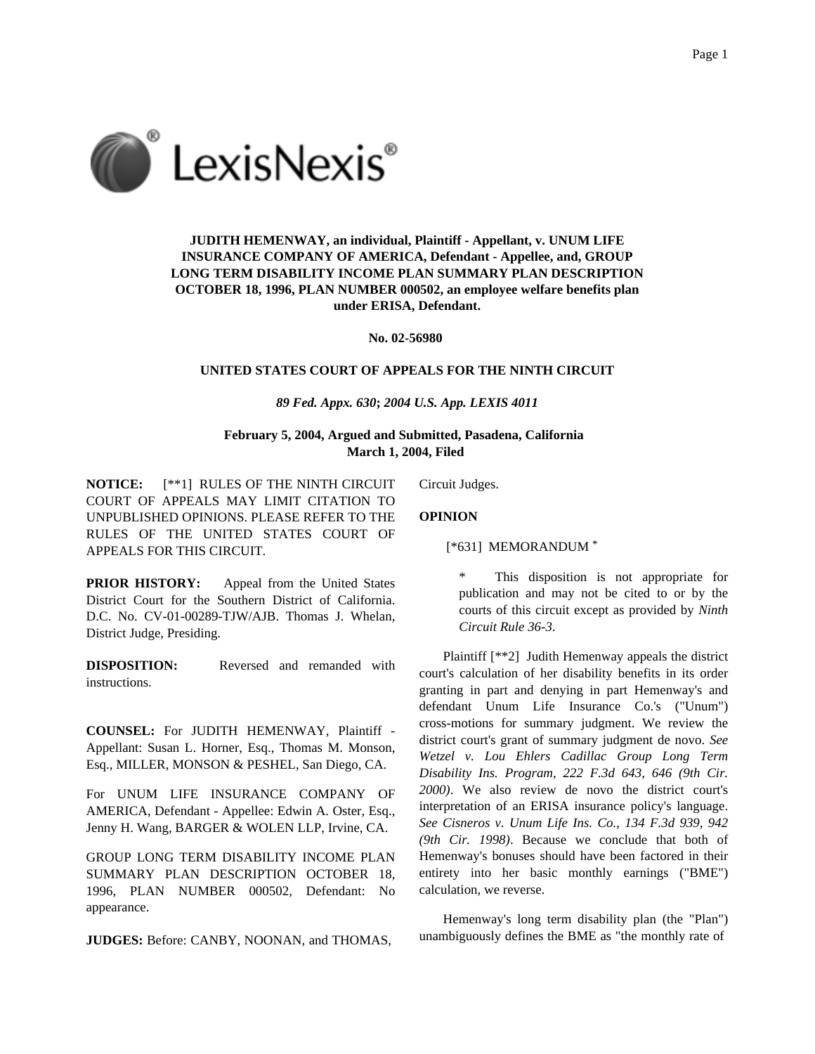

**JUDITH HEMENWAY, an individual, Plaintiff - Appellant, v. UNUM LIFE INSURANCE COMPANY OF AMERICA, Defendant - Appellee, and, GROUP LONG TERM DISABILITY INCOME PLAN SUMMARY PLAN DESCRIPTION OCTOBER 18, 1996, PLAN NUMBER 000502, an employee welfare benefits plan under ERISA, Defendant.**

**No. 02-56980**

## **UNITED STATES COURT OF APPEALS FOR THE NINTH CIRCUIT**

## *89 Fed. Appx. 630***;** *2004 U.S. App. LEXIS 4011*

**February 5, 2004, Argued and Submitted, Pasadena, California March 1, 2004, Filed**

**NOTICE:** [\*\*1] RULES OF THE NINTH CIRCUIT COURT OF APPEALS MAY LIMIT CITATION TO UNPUBLISHED OPINIONS. PLEASE REFER TO THE RULES OF THE UNITED STATES COURT OF APPEALS FOR THIS CIRCUIT.

**OPINION**

Circuit Judges.

[\*631] MEMORANDUM \*

**PRIOR HISTORY:** Appeal from the United States District Court for the Southern District of California. D.C. No. CV-01-00289-TJW/AJB. Thomas J. Whelan, District Judge, Presiding.

**DISPOSITION:** Reversed and remanded with instructions.

**COUNSEL:** For JUDITH HEMENWAY, Plaintiff - Appellant: Susan L. Horner, Esq., Thomas M. Monson, Esq., MILLER, MONSON & PESHEL, San Diego, CA.

For UNUM LIFE INSURANCE COMPANY OF AMERICA, Defendant - Appellee: Edwin A. Oster, Esq., Jenny H. Wang, BARGER & WOLEN LLP, Irvine, CA.

GROUP LONG TERM DISABILITY INCOME PLAN SUMMARY PLAN DESCRIPTION OCTOBER 18, 1996, PLAN NUMBER 000502, Defendant: No appearance.

**JUDGES:** Before: CANBY, NOONAN, and THOMAS,

\* This disposition is not appropriate for publication and may not be cited to or by the courts of this circuit except as provided by *Ninth Circuit Rule 36-3*.

Plaintiff [\*\*2] Judith Hemenway appeals the district court's calculation of her disability benefits in its order granting in part and denying in part Hemenway's and defendant Unum Life Insurance Co.'s ("Unum") cross-motions for summary judgment. We review the district court's grant of summary judgment de novo. *See Wetzel v. Lou Ehlers Cadillac Group Long Term Disability Ins. Program, 222 F.3d 643, 646 (9th Cir. 2000)*. We also review de novo the district court's interpretation of an ERISA insurance policy's language. *See Cisneros v. Unum Life Ins. Co., 134 F.3d 939, 942 (9th Cir. 1998)*. Because we conclude that both of Hemenway's bonuses should have been factored in their entirety into her basic monthly earnings ("BME") calculation, we reverse.

Hemenway's long term disability plan (the "Plan") unambiguously defines the BME as "the monthly rate of